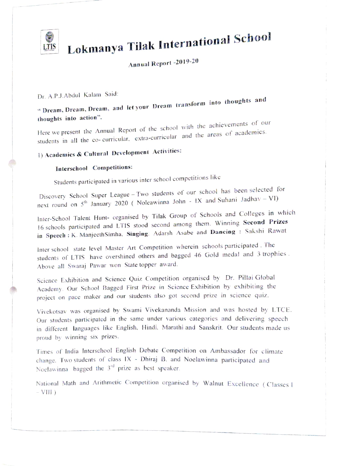

# **CE Lokmanya Tilak International School**

## Annual Report -2019-20

## Dr. A.P.J.Abdul Kalam Said:

"Dream, Dream, Dream, and let your Dream transform into thoughts and thoughts into action".

Here we present the Annual Report of the school with the achievements of our students in all the co- curricular. extra-curricular and the areas of academics.

## ) Academics & Cultural Development Activities:

## Interschool Competitions:

Students participated in various inter school competitions like

Discovery School Super League – Two students of our school has been selected for next round on  $5<sup>th</sup>$  January 2020 ( Noleawinna John - IX and Suhani Jadhav - VI)

Inter-School Talent Hunt- organised by Tilak Group of Schools and Colleges in which 16 schools participated and LTIS stood second among them. Winning Second Prizes in Speech: K. ManjeethSimha. Singing: Adarsh Asabe and Dancing : Sakshi Rawat

Inter school state level Master Art Competition wherein schools participated. The students of LTIS have overshined others and bagged 46 Gold medal and 3 trophies. Above all Swaraj Pawar won State topper award.

Science Exhibition and Science Quiz Competition organised by Dr. Pillai Global Academy. Our School Bagged First Prize in Science Exhibition by exhibiting the project on pace maker and our students also got second prize in science quiz.

Vivekotsay was organised by Swami Vivekananda Mission and was hosted by LTCE. Our students participated in the same under various categories and delivering speech in different languages like English. Hindi. Marathi and Sanskrit. Our students made us proud by winning six prizes.

Times of India Interschool English Debate Competition on Ambassador for climate change. Two students of class IX - Dhiraj B. and Noelawinna participated and Noelawinna bagged the  $3<sup>rd</sup>$  prize as best speaker.

National Math and Arithmetic Competition organised by Walnut Excellence (Classes I  $-VIII$ )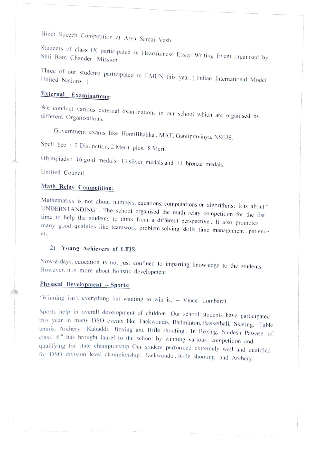Hindi Speech Competition at Arya Samaj Vashi

Students of class 1X participated in Heartfulness Essay Writing Event. organised by Shri Ram Chander Mission

Three of our students participated in IIMUN this year. (Indian International Model United Nations...)

## External Examinations:

We conduct various external examinations in our school which are organised by different Organisations.

Government exams like HomiBhabha . MAT, Ganitpravinya. NSEJS.

Spell bee : 2 Distinction. 2 Merit plus. 8 Merit

Olympiads: 16 gold medals. 13 silver medals and 11 bronze medals.

Unified Council.

## Math Relay Competition:

Mathematics is not about numbers, equations, computations or algorithms: It is about "UNDERSTANDING". The school organised the math relay competition for the fist time to help the students to think from a different perspec

## 2) Young Achievers of LTIS:

Now-a-days, education is not just confined to imparting knowledge to the students.<br>However, it is more about holistic development.

## Physical Development -- Sports:

Winning isn't everything but wanting to win is.' -- Vince Lombardi

Sports help in overall development of children. Our school students have participated<br>this year in many DSO events like Taekwondo, Badminton, Basketball, Skating, Table<br>tennis, Archery, Kabaddi, Boxing and Rifle shooting. for DSO division level championship. Taekwondo, Rifle shooting and Archery.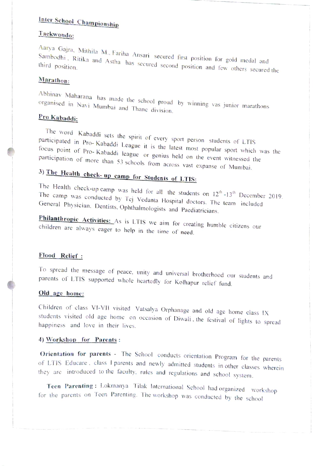## inter School Championship

## Tackwondo:

Aarya Gajra, Mithila M., Fariha Ansari secured first position for gold medal and<br>Sambodhi . Ritika and Astha has secured second position and few others secured the<br>third position. third position.

## Marathon:

Abhinav Maharana has made the school proud by winning vas junior marathors organised in Navi Mumbai and Thane division.

## Pro Kabaddi:

The word Kabaddi sets the spirit of every sport person students of LTIS participated in Pro- Kabaddi league it is the latest most popular sport which was the focus point of Pro- Kabaddi league or genius held on the event w

3) The Health check-up camp for Students of LTIS:<br>The Health check-up camp was held for all the students on  $12^{\text{th}}$ -13<sup>th</sup> December 2019.<br>The camp was conducted by Tej Vedanta Hospital doctors. The team included<br>Genera

Philanthropic Activities: As is LTIS we aim for creating humble citizens our children are always eager to help in the time of need.

#### Flood Relief

To spread the message of peace, unity and universal brotherhood our students and parents of LTIS supported whole heartedly for Kolhapur relief fund.

## Old age home:

Children of class VI-VII visited Vatsalya Orphanage and old age home class IX students visited old age home on occasion of Diwali . the festivai of lights to spread happiness and love in their lives.

#### 4) Workshop for Parents:

Orientation for parents - The School conducts orientation Program for the parents of LTIS Educare, class I parents and newly admitted students in other classes wherein they are introduced to the faculty, rules and regulati

for the parents on Teen Parenting. The workshop was conducted by the school Teen Parenting: Lokmanya Tilak International School had organized workshop